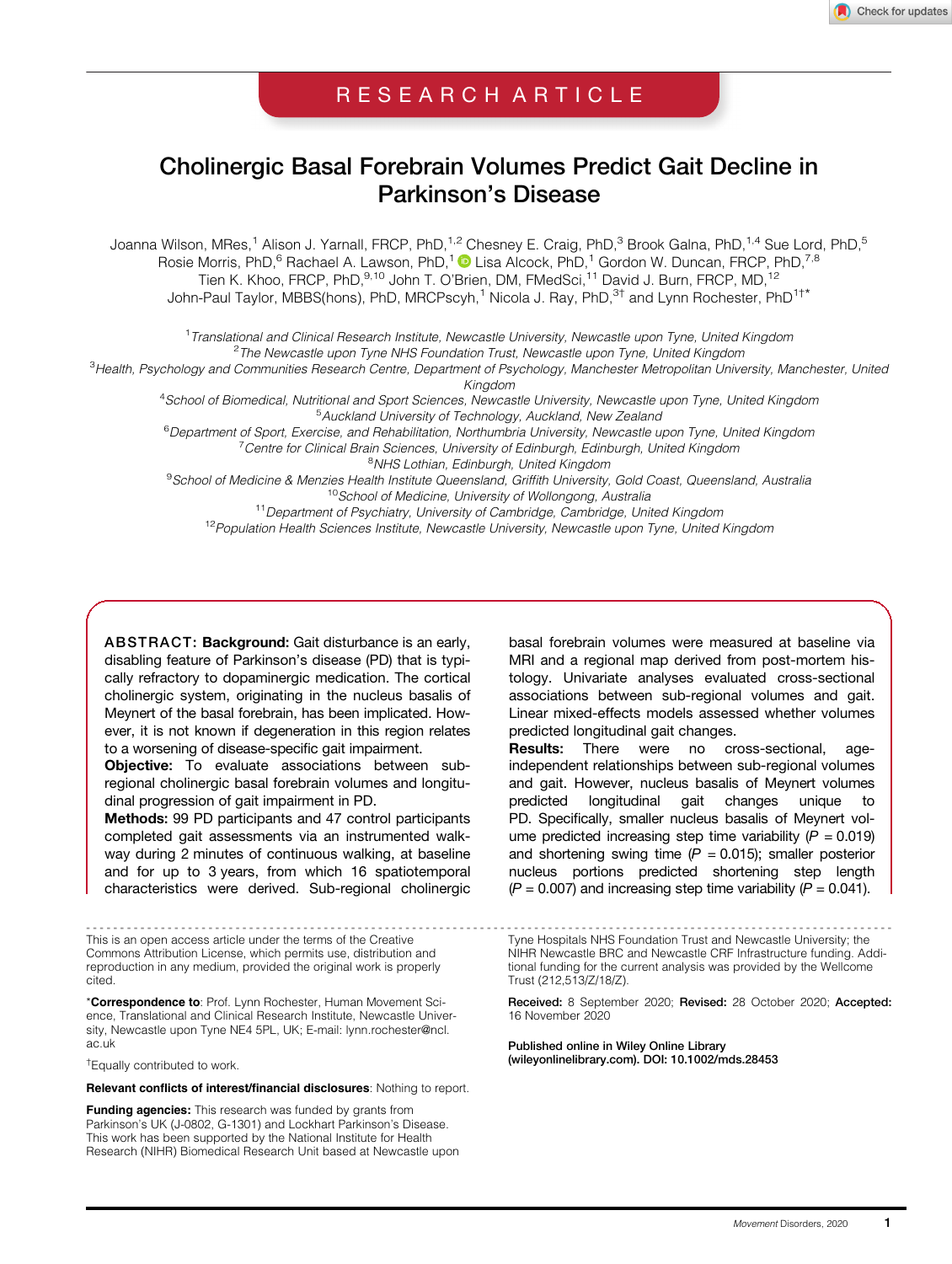# RESEARCH ARTICLE

# Cholinergic Basal Forebrain Volumes Predict Gait Decline in Parkinson's Disease

Joanna Wilson, MRes,<sup>1</sup> Alison J. Yarnall, FRCP, PhD,<sup>1,2</sup> Chesney E. Craig, PhD,<sup>3</sup> Brook Galna, PhD,<sup>1,4</sup> Sue Lord, PhD,<sup>5</sup> Rosie Morris, PhD,<sup>6</sup> Rachael A. Lawson, PhD,<sup>1</sup> D Lisa Alcock, PhD,<sup>1</sup> Gordon W. Duncan, FRCP, PhD,<sup>7,8</sup> Tien K. Khoo, FRCP, PhD,<sup>9,10</sup> John T. O'Brien, DM, FMedSci,<sup>11</sup> David J. Burn, FRCP, MD,<sup>12</sup> John-Paul Taylor, MBBS(hons), PhD, MRCPscyh,<sup>1</sup> Nicola J. Ray, PhD,<sup>3†</sup> and Lynn Rochester, PhD<sup>1†\*</sup>

<sup>1</sup> Translational and Clinical Research Institute, Newcastle University, Newcastle upon Tyne, United Kingdom <sup>2</sup>The Newcastle upon Tyne NHS Foundation Trust, Newcastle upon Tyne, United Kingdom The Newcastle upon Tyne NHS Foundation Trust, Newcastle upon Tyne, United Kingdom <sup>3</sup> Health, Psychology and Communities Research Centre, Department of Psychology, Manchester Metropolitan University, Manchester, United Kingdom <sup>4</sup> School of Biomedical, Nutritional and Sport Sciences, Newcastle University, Newcastle upon Tyne, United Kingdom

<sup>5</sup> Auckland University of Technology, Auckland, New Zealand

<sup>6</sup> Department of Sport, Exercise, and Rehabilitation, Northumbria University, Newcastle upon Tyne, United Kingdom<br><sup>7</sup> Centre for Clinical Brain Sciences, University of Ediphyrah, Ediphyrah, United Kingdom <sup>7</sup> Centre for Clinical Brain Sciences, University of Edinburgh, Edinburgh, United Kingdom

<sup>8</sup>NHS Lothian, Edinburgh, United Kingdom

<sup>9</sup> School of Medicine & Menzies Health Institute Queensland, Griffith University, Gold Coast, Queensland, Australia <sup>10</sup>School of Medicine, University of Wollongong, Australia<br><sup>11</sup> Department of Psychiatry, University of Cambridge, Cambridge, United Kingdom

<sup>12</sup> Population Health Sciences Institute, Newcastle University, Newcastle upon Tyne, United Kingdom

ABSTRACT: Background: Gait disturbance is an early, disabling feature of Parkinson's disease (PD) that is typically refractory to dopaminergic medication. The cortical cholinergic system, originating in the nucleus basalis of Meynert of the basal forebrain, has been implicated. However, it is not known if degeneration in this region relates to a worsening of disease-specific gait impairment.

Objective: To evaluate associations between subregional cholinergic basal forebrain volumes and longitudinal progression of gait impairment in PD.

Methods: 99 PD participants and 47 control participants completed gait assessments via an instrumented walkway during 2 minutes of continuous walking, at baseline and for up to 3 years, from which 16 spatiotemporal characteristics were derived. Sub-regional cholinergic

This is an open access article under the terms of the [Creative](http://creativecommons.org/licenses/by/4.0/) [Commons Attribution](http://creativecommons.org/licenses/by/4.0/) License, which permits use, distribution and reproduction in any medium, provided the original work is properly cited.

\*Correspondence to: Prof. Lynn Rochester, Human Movement Science, Translational and Clinical Research Institute, Newcastle University, Newcastle upon Tyne NE4 5PL, UK; E-mail: [lynn.rochester@ncl.](mailto:lynn.rochester@ncl.ac.uk) [ac.uk](mailto:lynn.rochester@ncl.ac.uk)

† Equally contributed to work.

Relevant conflicts of interest/financial disclosures: Nothing to report.

Funding agencies: This research was funded by grants from Parkinson's UK (J-0802, G-1301) and Lockhart Parkinson's Disease. This work has been supported by the National Institute for Health Research (NIHR) Biomedical Research Unit based at Newcastle upon

basal forebrain volumes were measured at baseline via MRI and a regional map derived from post-mortem histology. Univariate analyses evaluated cross-sectional associations between sub-regional volumes and gait. Linear mixed-effects models assessed whether volumes predicted longitudinal gait changes.

Results: There were no cross-sectional, ageindependent relationships between sub-regional volumes and gait. However, nucleus basalis of Meynert volumes predicted longitudinal gait changes unique to PD. Specifically, smaller nucleus basalis of Meynert volume predicted increasing step time variability  $(P = 0.019)$ and shortening swing time  $(P = 0.015)$ ; smaller posterior nucleus portions predicted shortening step length  $(P = 0.007)$  and increasing step time variability  $(P = 0.041)$ .

----------------------------------------------------------------------------------------------------------------------- Tyne Hospitals NHS Foundation Trust and Newcastle University; the NIHR Newcastle BRC and Newcastle CRF Infrastructure funding. Additional funding for the current analysis was provided by the Wellcome Trust (212,513/Z/18/Z).

> Received: 8 September 2020; Revised: 28 October 2020; Accepted: 16 November 2020

Published online in Wiley Online Library [\(wileyonlinelibrary.com](http://wileyonlinelibrary.com)). DOI: 10.1002/mds.28453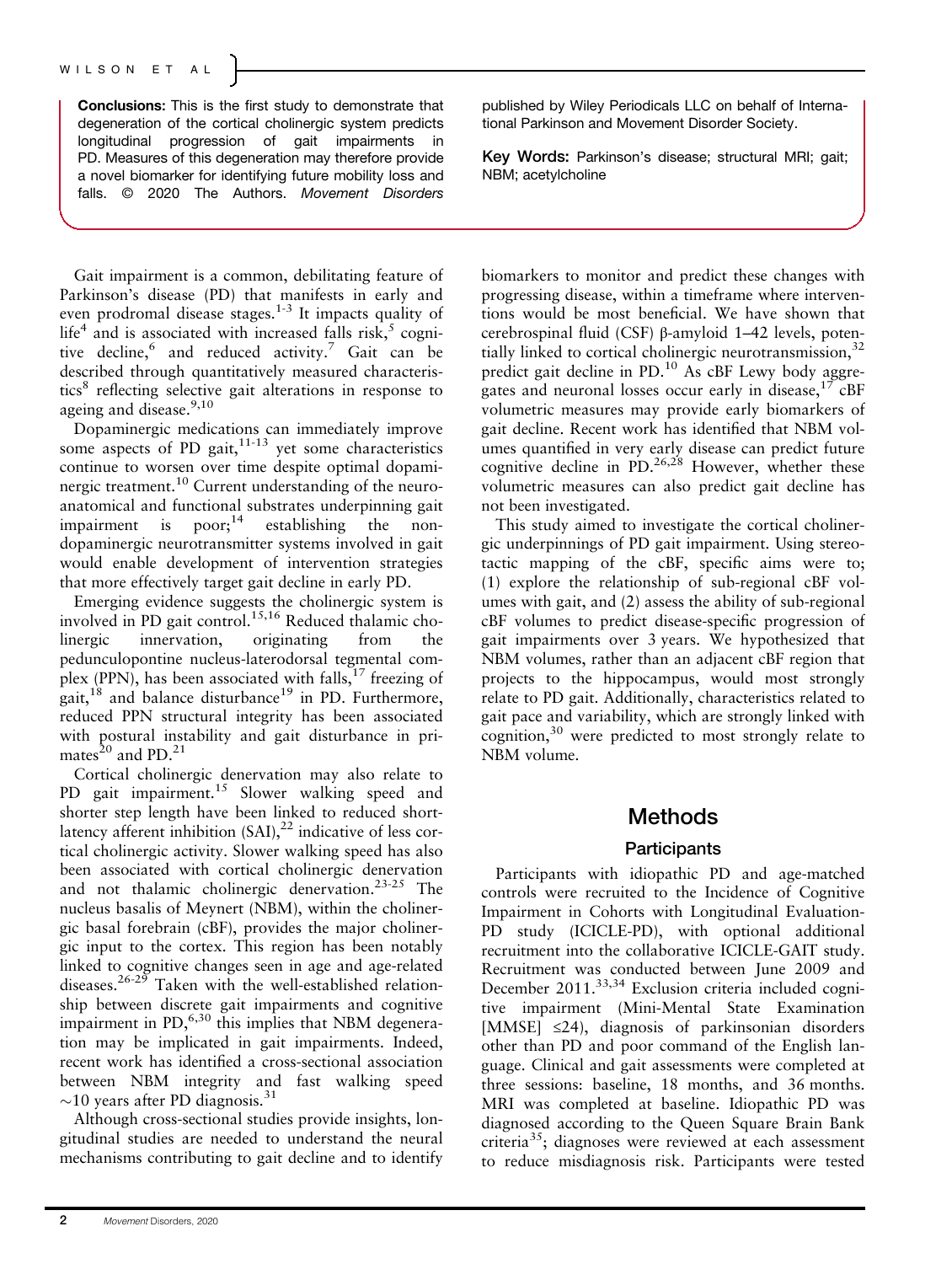Conclusions: This is the first study to demonstrate that degeneration of the cortical cholinergic system predicts longitudinal progression of gait impairments in PD. Measures of this degeneration may therefore provide a novel biomarker for identifying future mobility loss and falls. © 2020 The Authors. Movement Disorders

Gait impairment is a common, debilitating feature of Parkinson's disease (PD) that manifests in early and even prodromal disease stages.<sup>1-3</sup> It impacts quality of life<sup>4</sup> and is associated with increased falls risk,  $5 \text{ copi}$ tive decline,<sup>6</sup> and reduced activity.<sup>7</sup> Gait can be described through quantitatively measured characteristics<sup>8</sup> reflecting selective gait alterations in response to ageing and disease.<sup>9,10</sup>

Dopaminergic medications can immediately improve some aspects of PD gait, $11-13$  yet some characteristics continue to worsen over time despite optimal dopaminergic treatment.<sup>10</sup> Current understanding of the neuroanatomical and functional substrates underpinning gait impairment is  $poor;^{14}$  establishing the nondopaminergic neurotransmitter systems involved in gait would enable development of intervention strategies that more effectively target gait decline in early PD.

Emerging evidence suggests the cholinergic system is involved in PD gait control.<sup>15,16</sup> Reduced thalamic cholinergic innervation, originating from the pedunculopontine nucleus-laterodorsal tegmental complex (PPN), has been associated with falls, $^{17}$  freezing of gait,<sup>18</sup> and balance disturbance<sup>19</sup> in PD. Furthermore, reduced PPN structural integrity has been associated with postural instability and gait disturbance in primates $^{20}$  and PD.<sup>21</sup>

Cortical cholinergic denervation may also relate to PD gait impairment.<sup>15</sup> Slower walking speed and shorter step length have been linked to reduced shortlatency afferent inhibition  $(SAI)$ ,<sup>22</sup> indicative of less cortical cholinergic activity. Slower walking speed has also been associated with cortical cholinergic denervation and not thalamic cholinergic denervation.23-25 The nucleus basalis of Meynert (NBM), within the cholinergic basal forebrain (cBF), provides the major cholinergic input to the cortex. This region has been notably linked to cognitive changes seen in age and age-related diseases.<sup>26-29</sup> Taken with the well-established relationship between discrete gait impairments and cognitive impairment in  $PD<sub>1</sub><sup>6,30</sup>$  this implies that NBM degeneration may be implicated in gait impairments. Indeed, recent work has identified a cross-sectional association between NBM integrity and fast walking speed  $\sim$ 10 years after PD diagnosis.<sup>31</sup>

Although cross-sectional studies provide insights, longitudinal studies are needed to understand the neural mechanisms contributing to gait decline and to identify published by Wiley Periodicals LLC on behalf of International Parkinson and Movement Disorder Society.

Key Words: Parkinson's disease; structural MRI; gait; NBM; acetylcholine

biomarkers to monitor and predict these changes with progressing disease, within a timeframe where interventions would be most beneficial. We have shown that cerebrospinal fluid (CSF) β-amyloid 1–42 levels, potentially linked to cortical cholinergic neurotransmission,  $32$ predict gait decline in PD.<sup>10</sup> As cBF Lewy body aggregates and neuronal losses occur early in disease,  $17$  cBF volumetric measures may provide early biomarkers of gait decline. Recent work has identified that NBM volumes quantified in very early disease can predict future cognitive decline in  $\text{PD}^{26,28}$  However, whether these volumetric measures can also predict gait decline has not been investigated.

This study aimed to investigate the cortical cholinergic underpinnings of PD gait impairment. Using stereotactic mapping of the cBF, specific aims were to; (1) explore the relationship of sub-regional cBF volumes with gait, and (2) assess the ability of sub-regional cBF volumes to predict disease-specific progression of gait impairments over 3 years. We hypothesized that NBM volumes, rather than an adjacent cBF region that projects to the hippocampus, would most strongly relate to PD gait. Additionally, characteristics related to gait pace and variability, which are strongly linked with cognition, $30$  were predicted to most strongly relate to NBM volume.

## Methods

## **Participants**

Participants with idiopathic PD and age-matched controls were recruited to the Incidence of Cognitive Impairment in Cohorts with Longitudinal Evaluation-PD study (ICICLE-PD), with optional additional recruitment into the collaborative ICICLE-GAIT study. Recruitment was conducted between June 2009 and December 2011.<sup>33,34</sup> Exclusion criteria included cognitive impairment (Mini-Mental State Examination [MMSE] ≤24), diagnosis of parkinsonian disorders other than PD and poor command of the English language. Clinical and gait assessments were completed at three sessions: baseline, 18 months, and 36 months. MRI was completed at baseline. Idiopathic PD was diagnosed according to the Queen Square Brain Bank criteria<sup>35</sup>; diagnoses were reviewed at each assessment to reduce misdiagnosis risk. Participants were tested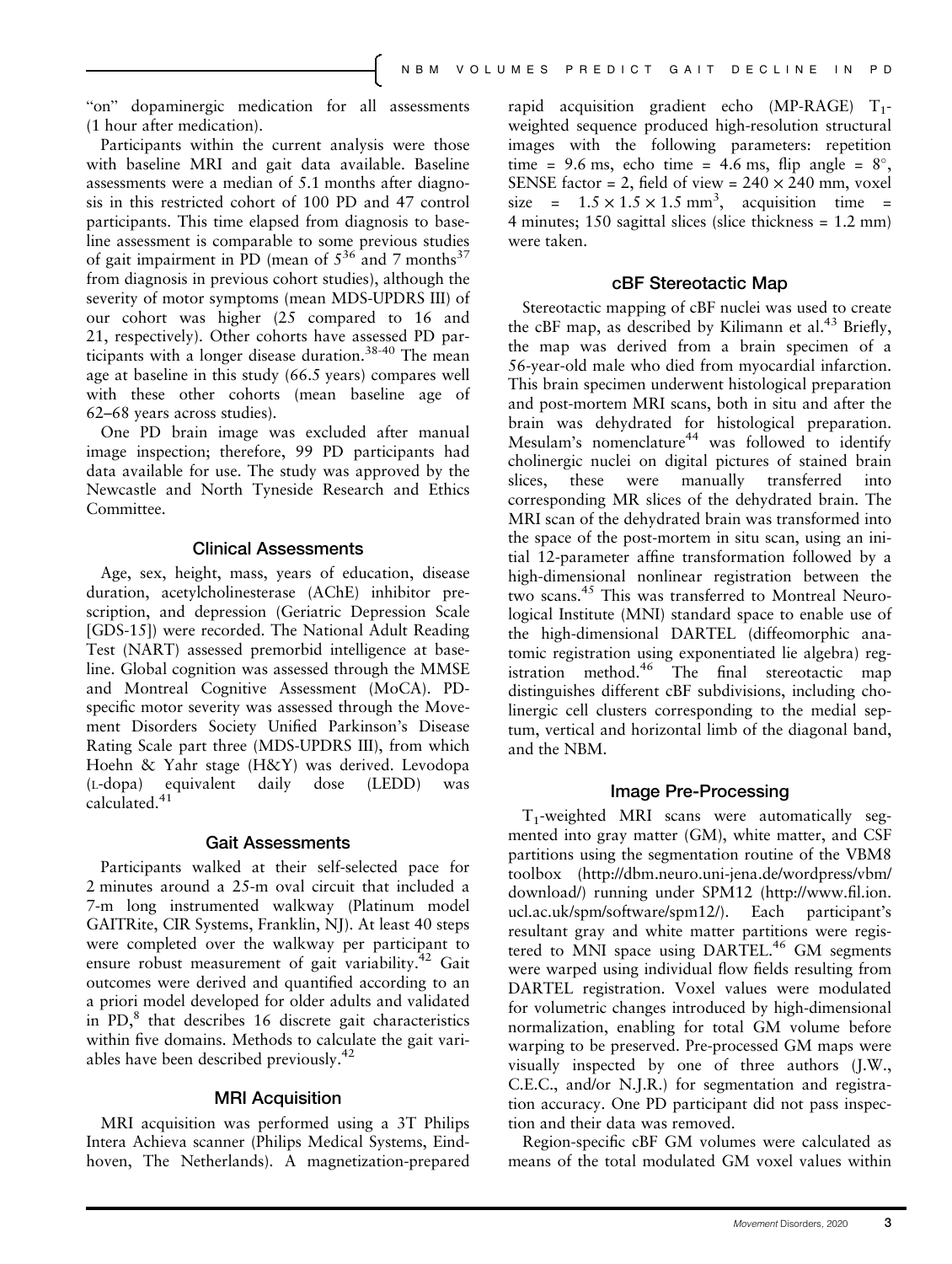"on" dopaminergic medication for all assessments (1 hour after medication).

Participants within the current analysis were those with baseline MRI and gait data available. Baseline assessments were a median of 5.1 months after diagnosis in this restricted cohort of 100 PD and 47 control participants. This time elapsed from diagnosis to baseline assessment is comparable to some previous studies of gait impairment in PD (mean of  $5^{36}$  and 7 months<sup>37</sup> from diagnosis in previous cohort studies), although the severity of motor symptoms (mean MDS-UPDRS III) of our cohort was higher (25 compared to 16 and 21, respectively). Other cohorts have assessed PD participants with a longer disease duration.<sup>38-40</sup> The mean age at baseline in this study (66.5 years) compares well with these other cohorts (mean baseline age of 62–68 years across studies).

One PD brain image was excluded after manual image inspection; therefore, 99 PD participants had data available for use. The study was approved by the Newcastle and North Tyneside Research and Ethics Committee.

### Clinical Assessments

Age, sex, height, mass, years of education, disease duration, acetylcholinesterase (AChE) inhibitor prescription, and depression (Geriatric Depression Scale [GDS-15]) were recorded. The National Adult Reading Test (NART) assessed premorbid intelligence at baseline. Global cognition was assessed through the MMSE and Montreal Cognitive Assessment (MoCA). PDspecific motor severity was assessed through the Movement Disorders Society Unified Parkinson's Disease Rating Scale part three (MDS-UPDRS III), from which Hoehn & Yahr stage (H&Y) was derived. Levodopa (L-dopa) equivalent daily dose (LEDD) was calculated.<sup>41</sup>

### Gait Assessments

Participants walked at their self-selected pace for 2 minutes around a 25-m oval circuit that included a 7-m long instrumented walkway (Platinum model GAITRite, CIR Systems, Franklin, NJ). At least 40 steps were completed over the walkway per participant to ensure robust measurement of gait variability.<sup>42</sup> Gait outcomes were derived and quantified according to an a priori model developed for older adults and validated in PD,<sup>8</sup> that describes 16 discrete gait characteristics within five domains. Methods to calculate the gait variables have been described previously.<sup>42</sup>

## MRI Acquisition

MRI acquisition was performed using a 3T Philips Intera Achieva scanner (Philips Medical Systems, Eindhoven, The Netherlands). A magnetization-prepared rapid acquisition gradient echo (MP-RAGE)  $T_1$ weighted sequence produced high-resolution structural images with the following parameters: repetition time = 9.6 ms, echo time = 4.6 ms, flip angle =  $8^\circ$ , SENSE factor = 2, field of view =  $240 \times 240$  mm, voxel size =  $1.5 \times 1.5 \times 1.5$  mm<sup>3</sup>, acquisition time = 4 minutes; 150 sagittal slices (slice thickness = 1.2 mm) were taken.

## cBF Stereotactic Map

Stereotactic mapping of cBF nuclei was used to create the cBF map, as described by Kilimann et al.<sup>43</sup> Briefly, the map was derived from a brain specimen of a 56-year-old male who died from myocardial infarction. This brain specimen underwent histological preparation and post-mortem MRI scans, both in situ and after the brain was dehydrated for histological preparation. Mesulam's nomenclature<sup>44</sup> was followed to identify cholinergic nuclei on digital pictures of stained brain slices, these were manually transferred into corresponding MR slices of the dehydrated brain. The MRI scan of the dehydrated brain was transformed into the space of the post-mortem in situ scan, using an initial 12-parameter affine transformation followed by a high-dimensional nonlinear registration between the two scans.<sup>45</sup> This was transferred to Montreal Neurological Institute (MNI) standard space to enable use of the high-dimensional DARTEL (diffeomorphic anatomic registration using exponentiated lie algebra) registration method.<sup>46</sup> The final stereotactic map distinguishes different cBF subdivisions, including cholinergic cell clusters corresponding to the medial septum, vertical and horizontal limb of the diagonal band, and the NBM.

### Image Pre-Processing

 $T_1$ -weighted MRI scans were automatically segmented into gray matter (GM), white matter, and CSF partitions using the segmentation routine of the VBM8 toolbox ([http://dbm.neuro.uni-jena.de/wordpress/vbm/](http://dbm.neuro.uni-jena.de/wordpress/vbm/download/) [download/\)](http://dbm.neuro.uni-jena.de/wordpress/vbm/download/) running under SPM12 [\(http://www.](http://www.fil.ion.ucl.ac.uk/spm/software/spm12/)fil.ion. [ucl.ac.uk/spm/software/spm12/](http://www.fil.ion.ucl.ac.uk/spm/software/spm12/)). Each participant's resultant gray and white matter partitions were registered to MNI space using DARTEL.<sup>46</sup> GM segments were warped using individual flow fields resulting from DARTEL registration. Voxel values were modulated for volumetric changes introduced by high-dimensional normalization, enabling for total GM volume before warping to be preserved. Pre-processed GM maps were visually inspected by one of three authors (J.W., C.E.C., and/or N.J.R.) for segmentation and registration accuracy. One PD participant did not pass inspection and their data was removed.

Region-specific cBF GM volumes were calculated as means of the total modulated GM voxel values within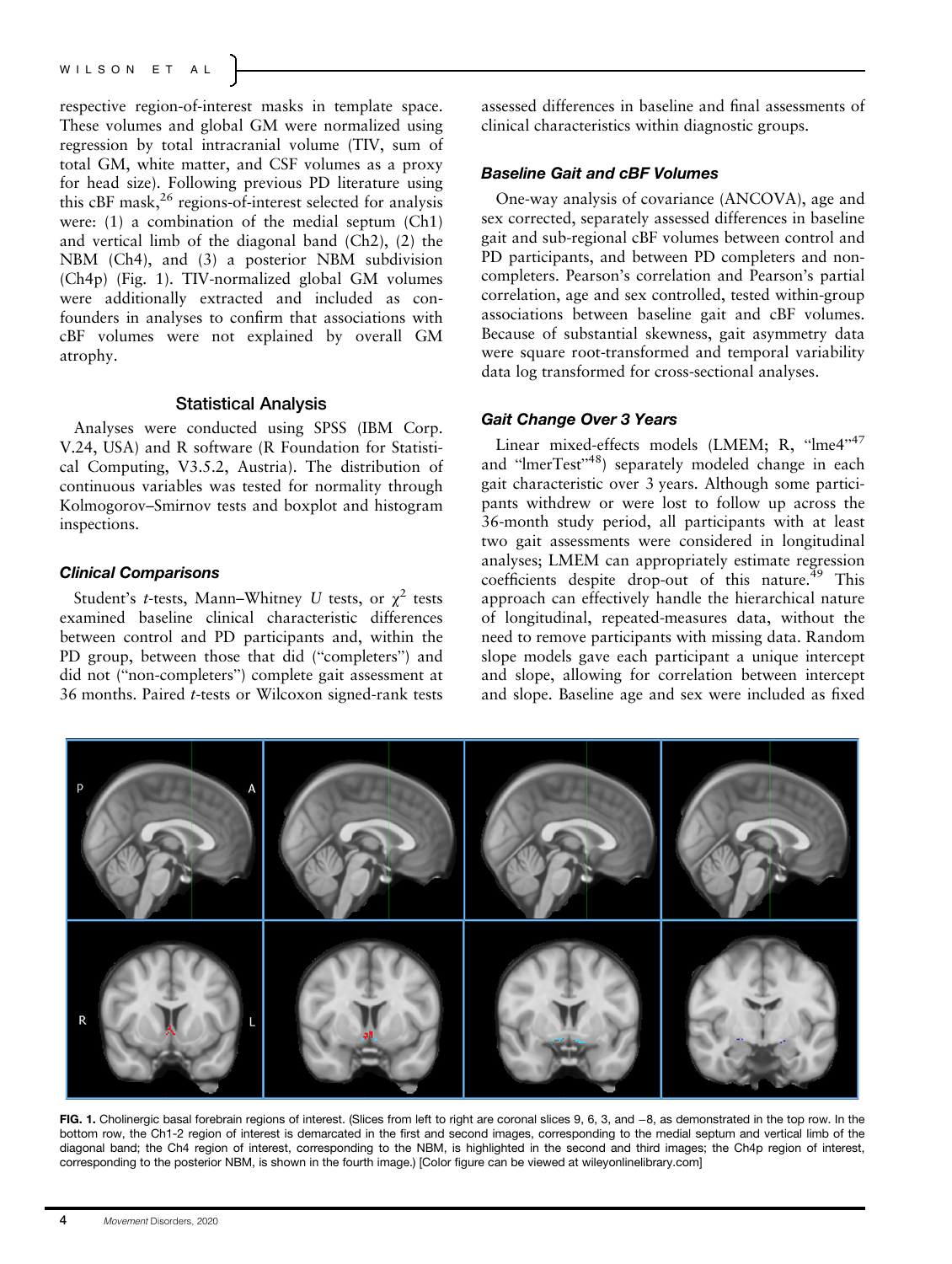## WILSON ET AL

respective region-of-interest masks in template space. These volumes and global GM were normalized using regression by total intracranial volume (TIV, sum of total GM, white matter, and CSF volumes as a proxy for head size). Following previous PD literature using this cBF mask,<sup>26</sup> regions-of-interest selected for analysis were: (1) a combination of the medial septum (Ch1) and vertical limb of the diagonal band (Ch2), (2) the NBM (Ch4), and (3) a posterior NBM subdivision (Ch4p) (Fig. 1). TIV-normalized global GM volumes were additionally extracted and included as confounders in analyses to confirm that associations with cBF volumes were not explained by overall GM atrophy.

## Statistical Analysis

Analyses were conducted using SPSS (IBM Corp. V.24, USA) and R software (R Foundation for Statistical Computing, V3.5.2, Austria). The distribution of continuous variables was tested for normality through Kolmogorov–Smirnov tests and boxplot and histogram inspections.

## Clinical Comparisons

Student's t-tests, Mann–Whitney U tests, or  $\chi^2$  tests examined baseline clinical characteristic differences between control and PD participants and, within the PD group, between those that did ("completers") and did not ("non-completers") complete gait assessment at 36 months. Paired t-tests or Wilcoxon signed-rank tests assessed differences in baseline and final assessments of clinical characteristics within diagnostic groups.

## Baseline Gait and cBF Volumes

One-way analysis of covariance (ANCOVA), age and sex corrected, separately assessed differences in baseline gait and sub-regional cBF volumes between control and PD participants, and between PD completers and noncompleters. Pearson's correlation and Pearson's partial correlation, age and sex controlled, tested within-group associations between baseline gait and cBF volumes. Because of substantial skewness, gait asymmetry data were square root-transformed and temporal variability data log transformed for cross-sectional analyses.

#### Gait Change Over 3 Years

Linear mixed-effects models (LMEM; R, "lme4"<sup>47</sup> and "ImerTest"<sup>48</sup>) separately modeled change in each gait characteristic over 3 years. Although some participants withdrew or were lost to follow up across the 36-month study period, all participants with at least two gait assessments were considered in longitudinal analyses; LMEM can appropriately estimate regression coefficients despite drop-out of this nature. $49$  This approach can effectively handle the hierarchical nature of longitudinal, repeated-measures data, without the need to remove participants with missing data. Random slope models gave each participant a unique intercept and slope, allowing for correlation between intercept and slope. Baseline age and sex were included as fixed



FIG. 1. Cholinergic basal forebrain regions of interest. (Slices from left to right are coronal slices 9, 6, 3, and −8, as demonstrated in the top row. In the bottom row, the Ch1-2 region of interest is demarcated in the first and second images, corresponding to the medial septum and vertical limb of the diagonal band; the Ch4 region of interest, corresponding to the NBM, is highlighted in the second and third images; the Ch4p region of interest, corresponding to the posterior NBM, is shown in the fourth image.) [Color figure can be viewed at [wileyonlinelibrary.com\]](http://wileyonlinelibrary.com)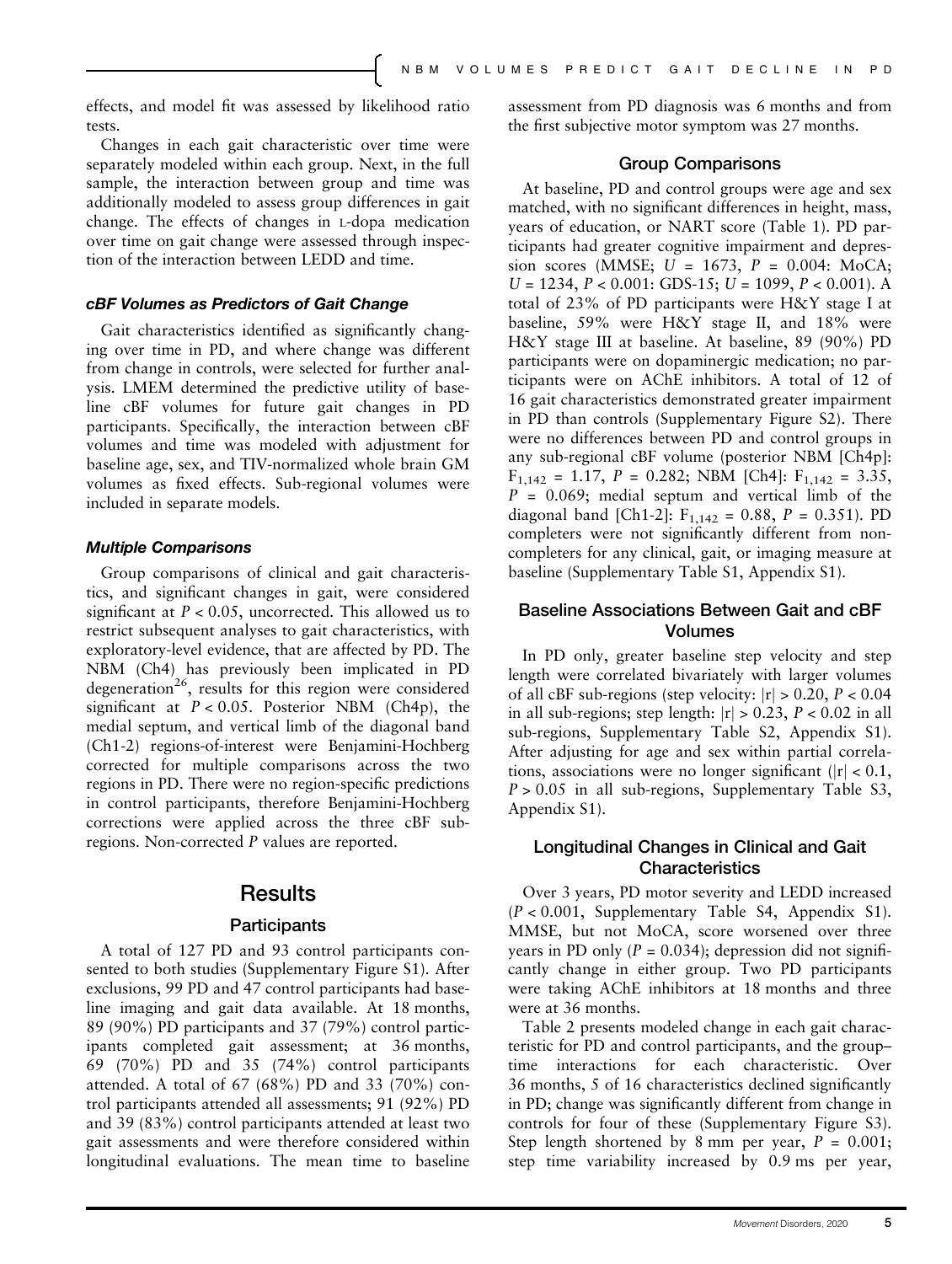effects, and model fit was assessed by likelihood ratio tests.

Changes in each gait characteristic over time were separately modeled within each group. Next, in the full sample, the interaction between group and time was additionally modeled to assess group differences in gait change. The effects of changes in L-dopa medication over time on gait change were assessed through inspection of the interaction between LEDD and time.

## cBF Volumes as Predictors of Gait Change

Gait characteristics identified as significantly changing over time in PD, and where change was different from change in controls, were selected for further analysis. LMEM determined the predictive utility of baseline cBF volumes for future gait changes in PD participants. Specifically, the interaction between cBF volumes and time was modeled with adjustment for baseline age, sex, and TIV-normalized whole brain GM volumes as fixed effects. Sub-regional volumes were included in separate models.

#### Multiple Comparisons

Group comparisons of clinical and gait characteristics, and significant changes in gait, were considered significant at  $P < 0.05$ , uncorrected. This allowed us to restrict subsequent analyses to gait characteristics, with exploratory-level evidence, that are affected by PD. The NBM (Ch4) has previously been implicated in PD degeneration<sup>26</sup>, results for this region were considered significant at  $P < 0.05$ . Posterior NBM (Ch4p), the medial septum, and vertical limb of the diagonal band (Ch1-2) regions-of-interest were Benjamini-Hochberg corrected for multiple comparisons across the two regions in PD. There were no region-specific predictions in control participants, therefore Benjamini-Hochberg corrections were applied across the three cBF subregions. Non-corrected P values are reported.

## **Results**

### **Participants**

A total of 127 PD and 93 control participants consented to both studies (Supplementary Figure S1). After exclusions, 99 PD and 47 control participants had baseline imaging and gait data available. At 18 months, 89 (90%) PD participants and 37 (79%) control participants completed gait assessment; at 36 months, 69 (70%) PD and 35 (74%) control participants attended. A total of 67 (68%) PD and 33 (70%) control participants attended all assessments; 91 (92%) PD and 39 (83%) control participants attended at least two gait assessments and were therefore considered within longitudinal evaluations. The mean time to baseline assessment from PD diagnosis was 6 months and from the first subjective motor symptom was 27 months.

## Group Comparisons

At baseline, PD and control groups were age and sex matched, with no significant differences in height, mass, years of education, or NART score (Table 1). PD participants had greater cognitive impairment and depression scores (MMSE;  $U = 1673$ ,  $P = 0.004$ ; MoCA;  $U = 1234$ ,  $P < 0.001$ : GDS-15;  $U = 1099$ ,  $P < 0.001$ ). A total of 23% of PD participants were H&Y stage I at baseline, 59% were H&Y stage II, and 18% were H&Y stage III at baseline. At baseline, 89 (90%) PD participants were on dopaminergic medication; no participants were on AChE inhibitors. A total of 12 of 16 gait characteristics demonstrated greater impairment in PD than controls (Supplementary Figure S2). There were no differences between PD and control groups in any sub-regional cBF volume (posterior NBM [Ch4p]:  $F_{1,142} = 1.17$ ,  $P = 0.282$ ; NBM [Ch4]:  $F_{1,142} = 3.35$ ,  $P = 0.069$ ; medial septum and vertical limb of the diagonal band [Ch1-2]:  $F_{1,142} = 0.88$ ,  $P = 0.351$ ). PD completers were not significantly different from noncompleters for any clinical, gait, or imaging measure at baseline (Supplementary Table S1, Appendix S1).

## Baseline Associations Between Gait and cBF Volumes

In PD only, greater baseline step velocity and step length were correlated bivariately with larger volumes of all cBF sub-regions (step velocity:  $|r| > 0.20$ ,  $P < 0.04$ in all sub-regions; step length:  $|r| > 0.23$ ,  $P < 0.02$  in all sub-regions, Supplementary Table S2, Appendix S1). After adjusting for age and sex within partial correlations, associations were no longer significant  $||r| < 0.1$ ,  $P > 0.05$  in all sub-regions, Supplementary Table S3, Appendix S1).

## Longitudinal Changes in Clinical and Gait Characteristics

Over 3 years, PD motor severity and LEDD increased (P < 0.001, Supplementary Table S4, Appendix S1). MMSE, but not MoCA, score worsened over three years in PD only ( $P = 0.034$ ); depression did not significantly change in either group. Two PD participants were taking AChE inhibitors at 18 months and three were at 36 months.

Table 2 presents modeled change in each gait characteristic for PD and control participants, and the group– time interactions for each characteristic. Over 36 months, 5 of 16 characteristics declined significantly in PD; change was significantly different from change in controls for four of these (Supplementary Figure S3). Step length shortened by 8 mm per year,  $P = 0.001$ ; step time variability increased by 0.9 ms per year,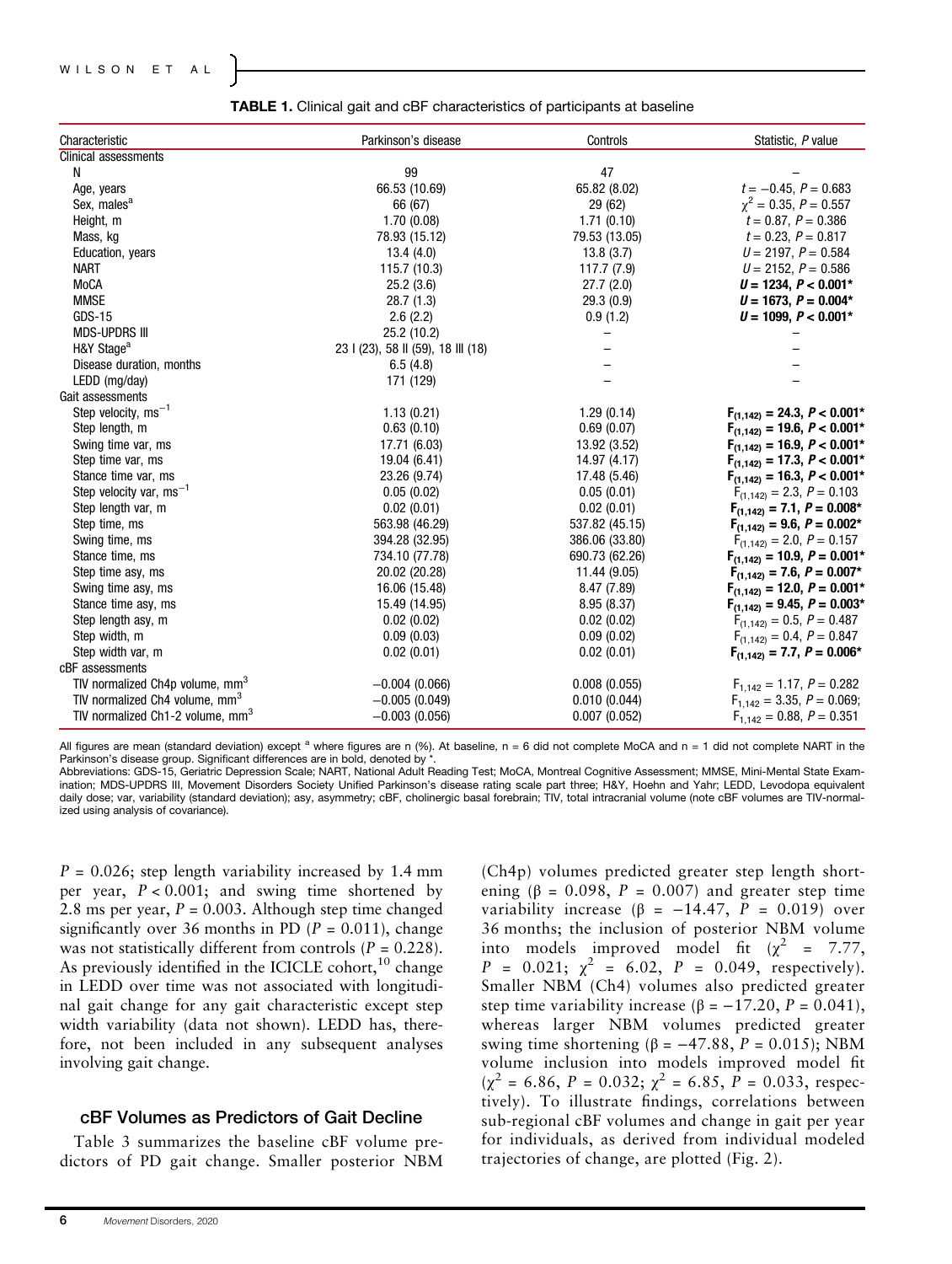### WILSON ET AL

| Characteristic                               | Parkinson's disease               | Controls       | Statistic, P value               |
|----------------------------------------------|-----------------------------------|----------------|----------------------------------|
| Clinical assessments                         |                                   |                |                                  |
| N                                            | 99                                | 47             |                                  |
| Age, years                                   | 66.53 (10.69)                     | 65.82 (8.02)   | $t = -0.45$ , $P = 0.683$        |
| Sex, males <sup>a</sup>                      | 66 (67)                           | 29 (62)        | $\chi^2 = 0.35, P = 0.557$       |
| Height, m                                    | 1.70(0.08)                        | 1.71(0.10)     | $t = 0.87, P = 0.386$            |
| Mass, kg                                     | 78.93 (15.12)                     | 79.53 (13.05)  | $t = 0.23$ , $P = 0.817$         |
| Education, years                             | 13.4(4.0)                         | 13.8(3.7)      | $U = 2197, P = 0.584$            |
| <b>NART</b>                                  | 115.7 (10.3)                      | 117.7 (7.9)    | $U = 2152$ , $P = 0.586$         |
| <b>MoCA</b>                                  | 25.2(3.6)                         | 27.7(2.0)      | $U = 1234, P < 0.001*$           |
| <b>MMSE</b>                                  | 28.7(1.3)                         | 29.3(0.9)      | $U = 1673, P = 0.004*$           |
| <b>GDS-15</b>                                | 2.6(2.2)                          | 0.9(1.2)       | $U = 1099, P < 0.001*$           |
| <b>MDS-UPDRS III</b>                         | 25.2 (10.2)                       |                |                                  |
| H&Y Stage <sup>a</sup>                       | 23   (23), 58    (59), 18    (18) |                |                                  |
| Disease duration, months                     | 6.5(4.8)                          |                |                                  |
| LEDD (mg/day)                                | 171 (129)                         |                |                                  |
| Gait assessments                             |                                   |                |                                  |
| Step velocity, $ms^{-1}$                     | 1.13(0.21)                        | 1.29(0.14)     | $F_{(1,142)} = 24.3, P < 0.001*$ |
| Step length, m                               | 0.63(0.10)                        | 0.69(0.07)     | $F_{(1,142)} = 19.6, P < 0.001*$ |
| Swing time var, ms                           | 17.71 (6.03)                      | 13.92 (3.52)   | $F_{(1,142)} = 16.9, P < 0.001*$ |
| Step time var, ms                            | 19.04 (6.41)                      | 14.97 (4.17)   | $F_{(1,142)} = 17.3, P < 0.001*$ |
| Stance time var, ms                          | 23.26 (9.74)                      | 17.48 (5.46)   | $F_{(1,142)} = 16.3, P < 0.001*$ |
| Step velocity var, $ms^{-1}$                 | 0.05(0.02)                        | 0.05(0.01)     | $F_{(1,142)} = 2.3, P = 0.103$   |
| Step length var, m                           | 0.02(0.01)                        | 0.02(0.01)     | $F_{(1,142)} = 7.1, P = 0.008*$  |
| Step time, ms                                | 563.98 (46.29)                    | 537.82 (45.15) | $F_{(1,142)} = 9.6, P = 0.002*$  |
| Swing time, ms                               | 394.28 (32.95)                    | 386.06 (33.80) | $F_{(1,142)} = 2.0, P = 0.157$   |
| Stance time, ms                              | 734.10 (77.78)                    | 690.73 (62.26) | $F_{(1,142)} = 10.9, P = 0.001*$ |
| Step time asy, ms                            | 20.02 (20.28)                     | 11.44 (9.05)   | $F_{(1,142)} = 7.6, P = 0.007*$  |
| Swing time asy, ms                           | 16.06 (15.48)                     | 8.47 (7.89)    | $F_{(1,142)} = 12.0, P = 0.001*$ |
| Stance time asy, ms                          | 15.49 (14.95)                     | 8.95 (8.37)    | $F_{(1,142)} = 9.45, P = 0.003*$ |
| Step length asy, m                           | 0.02(0.02)                        | 0.02(0.02)     | $F_{(1,142)} = 0.5, P = 0.487$   |
| Step width, m                                | 0.09(0.03)                        | 0.09(0.02)     | $F_{(1,142)} = 0.4, P = 0.847$   |
| Step width var, m                            | 0.02(0.01)                        | 0.02(0.01)     | $F_{(1,142)} = 7.7, P = 0.006*$  |
| cBF assessments                              |                                   |                |                                  |
| TIV normalized Ch4p volume, mm <sup>3</sup>  | $-0.004(0.066)$                   | 0.008(0.055)   | $F_{1,142} = 1.17, P = 0.282$    |
| TIV normalized Ch4 volume, mm <sup>3</sup>   | $-0.005(0.049)$                   | 0.010(0.044)   | $F_{1,142} = 3.35, P = 0.069;$   |
| TIV normalized Ch1-2 volume, mm <sup>3</sup> | $-0.003(0.056)$                   | 0.007(0.052)   | $F_{1,142} = 0.88, P = 0.351$    |

TABLE 1. Clinical gait and cBF characteristics of participants at baseline

All figures are mean (standard deviation) except <sup>a</sup> where figures are n (%). At baseline,  $n = 6$  did not complete MoCA and  $n = 1$  did not complete NART in the Parkinson's disease group. Significant differences are in bold, denoted by \*.

Abbreviations: GDS-15, Geriatric Depression Scale; NART, National Adult Reading Test; MoCA, Montreal Cognitive Assessment; MMSE, Mini-Mental State Examination; MDS-UPDRS III, Movement Disorders Society Unified Parkinson's disease rating scale part three; H&Y, Hoehn and Yahr; LEDD, Levodopa equivalent daily dose; var, variability (standard deviation); asy, asymmetry; cBF, cholinergic basal forebrain; TIV, total intracranial volume (note cBF volumes are TIV-normalized using analysis of covariance).

 $P = 0.026$ ; step length variability increased by 1.4 mm per year,  $P < 0.001$ ; and swing time shortened by 2.8 ms per year,  $P = 0.003$ . Although step time changed significantly over 36 months in PD ( $P = 0.011$ ), change was not statistically different from controls  $(P = 0.228)$ . As previously identified in the ICICLE cohort,<sup>10</sup> change in LEDD over time was not associated with longitudinal gait change for any gait characteristic except step width variability (data not shown). LEDD has, therefore, not been included in any subsequent analyses involving gait change.

## cBF Volumes as Predictors of Gait Decline

Table 3 summarizes the baseline cBF volume predictors of PD gait change. Smaller posterior NBM

(Ch4p) volumes predicted greater step length shortening ( $\beta$  = 0.098, P = 0.007) and greater step time variability increase ( $\beta$  = -14.47, P = 0.019) over 36 months; the inclusion of posterior NBM volume into models improved model fit ( $\chi^2$  = 7.77,  $P = 0.021; \chi^2 = 6.02, P = 0.049,$  respectively). Smaller NBM (Ch4) volumes also predicted greater step time variability increase ( $\beta = -17.20$ ,  $P = 0.041$ ), whereas larger NBM volumes predicted greater swing time shortening (β =  $-47.88$ , P = 0.015); NBM volume inclusion into models improved model fit  $(\chi^2 = 6.86, P = 0.032; \chi^2 = 6.85, P = 0.033, \text{ respec-}$ tively). To illustrate findings, correlations between sub-regional cBF volumes and change in gait per year for individuals, as derived from individual modeled trajectories of change, are plotted (Fig. 2).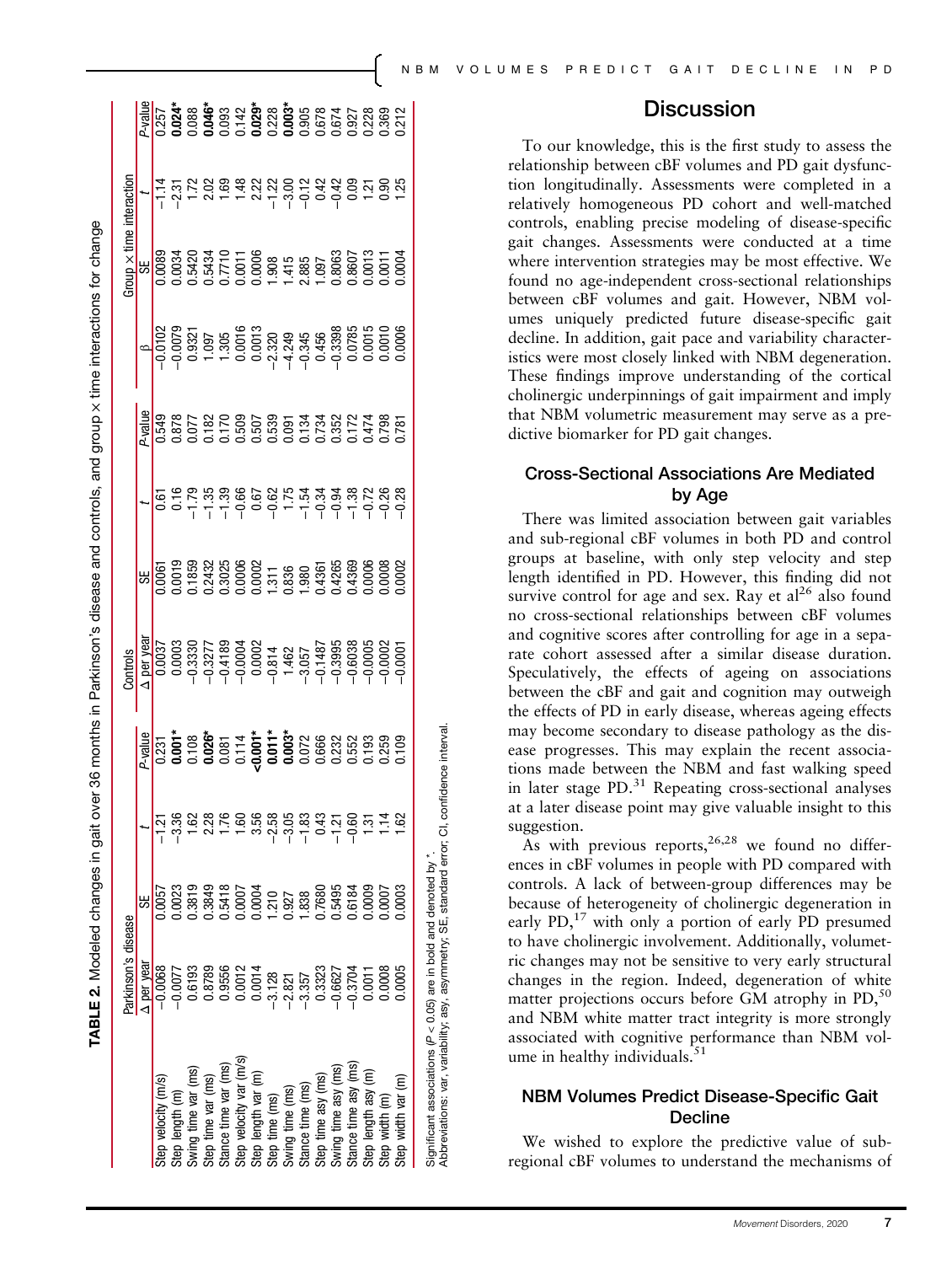|                         | Parkinson's disease                                                                           |                                                                                                                       |                                   |         | Controls         |                                                                                                                                                                                                                                                                                                                                                                                                                                                                                     |         |                                                                                                                                                                                                                                                                                                                    | $3$ roup $\times$ time | interactio |                                                                                                                                                                                                                                                                                                                                                                                                                                                               |
|-------------------------|-----------------------------------------------------------------------------------------------|-----------------------------------------------------------------------------------------------------------------------|-----------------------------------|---------|------------------|-------------------------------------------------------------------------------------------------------------------------------------------------------------------------------------------------------------------------------------------------------------------------------------------------------------------------------------------------------------------------------------------------------------------------------------------------------------------------------------|---------|--------------------------------------------------------------------------------------------------------------------------------------------------------------------------------------------------------------------------------------------------------------------------------------------------------------------|------------------------|------------|---------------------------------------------------------------------------------------------------------------------------------------------------------------------------------------------------------------------------------------------------------------------------------------------------------------------------------------------------------------------------------------------------------------------------------------------------------------|
|                         | $\Delta$ per year                                                                             | 5                                                                                                                     |                                   | P-value | $\Delta$ per yea |                                                                                                                                                                                                                                                                                                                                                                                                                                                                                     | P-value |                                                                                                                                                                                                                                                                                                                    |                        |            |                                                                                                                                                                                                                                                                                                                                                                                                                                                               |
| itep velocity (m/s)     | $-0.0068$                                                                                     | 1.0057                                                                                                                |                                   |         |                  |                                                                                                                                                                                                                                                                                                                                                                                                                                                                                     |         |                                                                                                                                                                                                                                                                                                                    |                        |            |                                                                                                                                                                                                                                                                                                                                                                                                                                                               |
| tep length (m)          | $-0.0077$                                                                                     | 1.0023                                                                                                                |                                   |         |                  |                                                                                                                                                                                                                                                                                                                                                                                                                                                                                     |         |                                                                                                                                                                                                                                                                                                                    |                        |            |                                                                                                                                                                                                                                                                                                                                                                                                                                                               |
| wing time var (ms)      | 0.6193                                                                                        | 0.3819                                                                                                                | .<br>ಇ. –<br>−                    |         |                  |                                                                                                                                                                                                                                                                                                                                                                                                                                                                                     |         |                                                                                                                                                                                                                                                                                                                    |                        |            |                                                                                                                                                                                                                                                                                                                                                                                                                                                               |
| step time var (ms)      | 0.8789                                                                                        | 0.3849                                                                                                                |                                   |         |                  |                                                                                                                                                                                                                                                                                                                                                                                                                                                                                     |         |                                                                                                                                                                                                                                                                                                                    |                        |            |                                                                                                                                                                                                                                                                                                                                                                                                                                                               |
| stance time var (ms)    |                                                                                               |                                                                                                                       |                                   |         |                  |                                                                                                                                                                                                                                                                                                                                                                                                                                                                                     |         |                                                                                                                                                                                                                                                                                                                    |                        |            |                                                                                                                                                                                                                                                                                                                                                                                                                                                               |
| Step velocity var (m/s) |                                                                                               | 0.5418                                                                                                                |                                   |         |                  |                                                                                                                                                                                                                                                                                                                                                                                                                                                                                     |         |                                                                                                                                                                                                                                                                                                                    |                        |            |                                                                                                                                                                                                                                                                                                                                                                                                                                                               |
| step length var (m)     |                                                                                               |                                                                                                                       |                                   |         |                  |                                                                                                                                                                                                                                                                                                                                                                                                                                                                                     |         |                                                                                                                                                                                                                                                                                                                    |                        |            |                                                                                                                                                                                                                                                                                                                                                                                                                                                               |
| step time (ms)          |                                                                                               |                                                                                                                       | $5.5834$<br>$7.79770$<br>$7.7970$ |         |                  |                                                                                                                                                                                                                                                                                                                                                                                                                                                                                     |         |                                                                                                                                                                                                                                                                                                                    |                        |            |                                                                                                                                                                                                                                                                                                                                                                                                                                                               |
| wing time (ms)          |                                                                                               |                                                                                                                       |                                   |         |                  |                                                                                                                                                                                                                                                                                                                                                                                                                                                                                     |         |                                                                                                                                                                                                                                                                                                                    |                        |            |                                                                                                                                                                                                                                                                                                                                                                                                                                                               |
| tance time (ms)         |                                                                                               |                                                                                                                       |                                   |         |                  |                                                                                                                                                                                                                                                                                                                                                                                                                                                                                     |         |                                                                                                                                                                                                                                                                                                                    |                        |            |                                                                                                                                                                                                                                                                                                                                                                                                                                                               |
| tep time asy (ms)       | $\begin{array}{r} 0.9556\\0.0011\\0.0014\\0.0014\\-2.821\\-2.857\\-3.352\\0.3323 \end{array}$ | $\begin{array}{l} 0.0004 \\ 1.210 \\ 0.927 \\ 1.838 \\ 0.7680 \\ 0.5495 \\ 0.0009 \\ 0.0009 \\ 0.0000 \\ \end{array}$ |                                   |         |                  | $\begin{array}{r} \mathbf{g} \\ \hline \mathbf{g} \\ \hline \mathbf{g} \\ \hline \mathbf{g} \\ \hline \mathbf{g} \\ \hline \mathbf{g} \\ \hline \mathbf{g} \\ \hline \mathbf{g} \\ \hline \mathbf{g} \\ \hline \mathbf{g} \\ \hline \mathbf{g} \\ \hline \mathbf{g} \\ \hline \mathbf{g} \\ \hline \mathbf{g} \\ \hline \mathbf{g} \\ \hline \mathbf{g} \\ \hline \mathbf{g} \\ \hline \mathbf{g} \\ \hline \mathbf{g} \\ \hline \mathbf{g} \\ \hline \mathbf{g} \\ \hline \mathbf$ |         | $\begin{array}{r} 0.0102 \\ -0.0102 \\ -0.0078 \\ -0.0078 \\ -0.0078 \\ -0.0078 \\ -0.0078 \\ -0.0007 \\ -0.0007 \\ -0.0007 \\ -0.0007 \\ -0.0007 \\ -0.0007 \\ -0.0007 \\ -0.0007 \\ -0.0007 \\ -0.00007 \\ -0.00007 \\ -0.00007 \\ -0.00007 \\ -0.00007 \\ -0.00007 \\ -0.00007 \\ -0.00007 \\ -0.00007 \\ -0.0$ |                        |            | $\begin{array}{l} \mathbb{B} \\ \hline \mathbb{B} \\ \mathbb{B} \\ \mathbb{C} \\ \mathbb{C} \\ \mathbb{D} \\ \mathbb{D} \\ \mathbb{D} \\ \mathbb{D} \\ \mathbb{D} \\ \mathbb{D} \\ \mathbb{D} \\ \mathbb{D} \\ \mathbb{D} \\ \mathbb{D} \\ \mathbb{D} \\ \mathbb{D} \\ \mathbb{D} \\ \mathbb{D} \\ \mathbb{D} \\ \mathbb{D} \\ \mathbb{D} \\ \mathbb{D} \\ \mathbb{D} \\ \mathbb{D} \\ \mathbb{D} \\ \mathbb{D} \\ \mathbb{D} \\ \mathbb{D} \\ \mathbb{D} \\$ |
| wing time asy (ms)      | $-0.6627$                                                                                     |                                                                                                                       | $-1.6$                            |         |                  |                                                                                                                                                                                                                                                                                                                                                                                                                                                                                     |         |                                                                                                                                                                                                                                                                                                                    |                        |            |                                                                                                                                                                                                                                                                                                                                                                                                                                                               |
| Stance time asy (ms)    | $-0.3704$                                                                                     |                                                                                                                       |                                   |         |                  |                                                                                                                                                                                                                                                                                                                                                                                                                                                                                     |         |                                                                                                                                                                                                                                                                                                                    |                        |            |                                                                                                                                                                                                                                                                                                                                                                                                                                                               |
| Step length asy (m)     | 0.0011                                                                                        |                                                                                                                       | $\frac{3}{2}$                     |         |                  |                                                                                                                                                                                                                                                                                                                                                                                                                                                                                     |         |                                                                                                                                                                                                                                                                                                                    |                        |            |                                                                                                                                                                                                                                                                                                                                                                                                                                                               |
| Step width (m)          | 0.0008                                                                                        |                                                                                                                       |                                   |         |                  |                                                                                                                                                                                                                                                                                                                                                                                                                                                                                     |         |                                                                                                                                                                                                                                                                                                                    |                        |            |                                                                                                                                                                                                                                                                                                                                                                                                                                                               |
| Step width var (m)      | 0.0005                                                                                        | 0.0003                                                                                                                |                                   |         |                  |                                                                                                                                                                                                                                                                                                                                                                                                                                                                                     |         |                                                                                                                                                                                                                                                                                                                    |                        |            |                                                                                                                                                                                                                                                                                                                                                                                                                                                               |

TABLE 2. Modeled changes in gait over 36 months in Parkinson's disease and controls, and group

TABLE 2. Modeled changes in gait over 36 months in Parkinson's disease and controls, and group x time interactions for change

time interactions for change

Significant associations (P < 0.05) are in bold and denoted by \*.<br>Abbreviations: var, variability; asy, asymmetry; SE, standard error; CI, confidence interval. Abbreviations: var, variability; asy, asymmetry; SE, standard error; CI, confidence interval. Significant associations ( $P < 0.05$ ) are in bold and denoted by  $*$ .

To our knowledge, this is the first study to assess the relationship between cBF volumes and PD gait dysfunction longitudinally. Assessments were completed in a relatively homogeneous PD cohort and well-matched controls, enabling precise modeling of disease-specific gait changes. Assessments were conducted at a time where intervention strategies may be most effective. We found no age-independent cross-sectional relationships between cBF volumes and gait. However, NBM volumes uniquely predicted future disease-specific gait decline. In addition, gait pace and variability characteristics were most closely linked with NBM degeneration. These findings improve understanding of the cortical cholinergic underpinnings of gait impairment and imply that NBM volumetric measurement may serve as a predictive biomarker for PD gait changes.

**Discussion** 

## Cross-Sectional Associations Are Mediated by Age

There was limited association between gait variables and sub-regional cBF volumes in both PD and control groups at baseline, with only step velocity and step length identified in PD. However, this finding did not survive control for age and sex. Ray et  $al^{26}$  also found no cross-sectional relationships between cBF volumes and cognitive scores after controlling for age in a separate cohort assessed after a similar disease duration. Speculatively, the effects of ageing on associations between the cBF and gait and cognition may outweigh the effects of PD in early disease, whereas ageing effects may become secondary to disease pathology as the disease progresses. This may explain the recent associations made between the NBM and fast walking speed in later stage PD.<sup>31</sup> Repeating cross-sectional analyses at a later disease point may give valuable insight to this suggestion.

As with previous reports,  $26,28$  we found no differences in cBF volumes in people with PD compared with controls. A lack of between-group differences may be because of heterogeneity of cholinergic degeneration in early  $PD$ ,<sup>17</sup> with only a portion of early PD presumed to have cholinergic involvement. Additionally, volumetric changes may not be sensitive to very early structural changes in the region. Indeed, degeneration of white matter projections occurs before GM atrophy in  $PD,50$ and NBM white matter tract integrity is more strongly associated with cognitive performance than NBM volume in healthy individuals. $51$ 

## NBM Volumes Predict Disease-Specific Gait Decline

We wished to explore the predictive value of subregional cBF volumes to understand the mechanisms of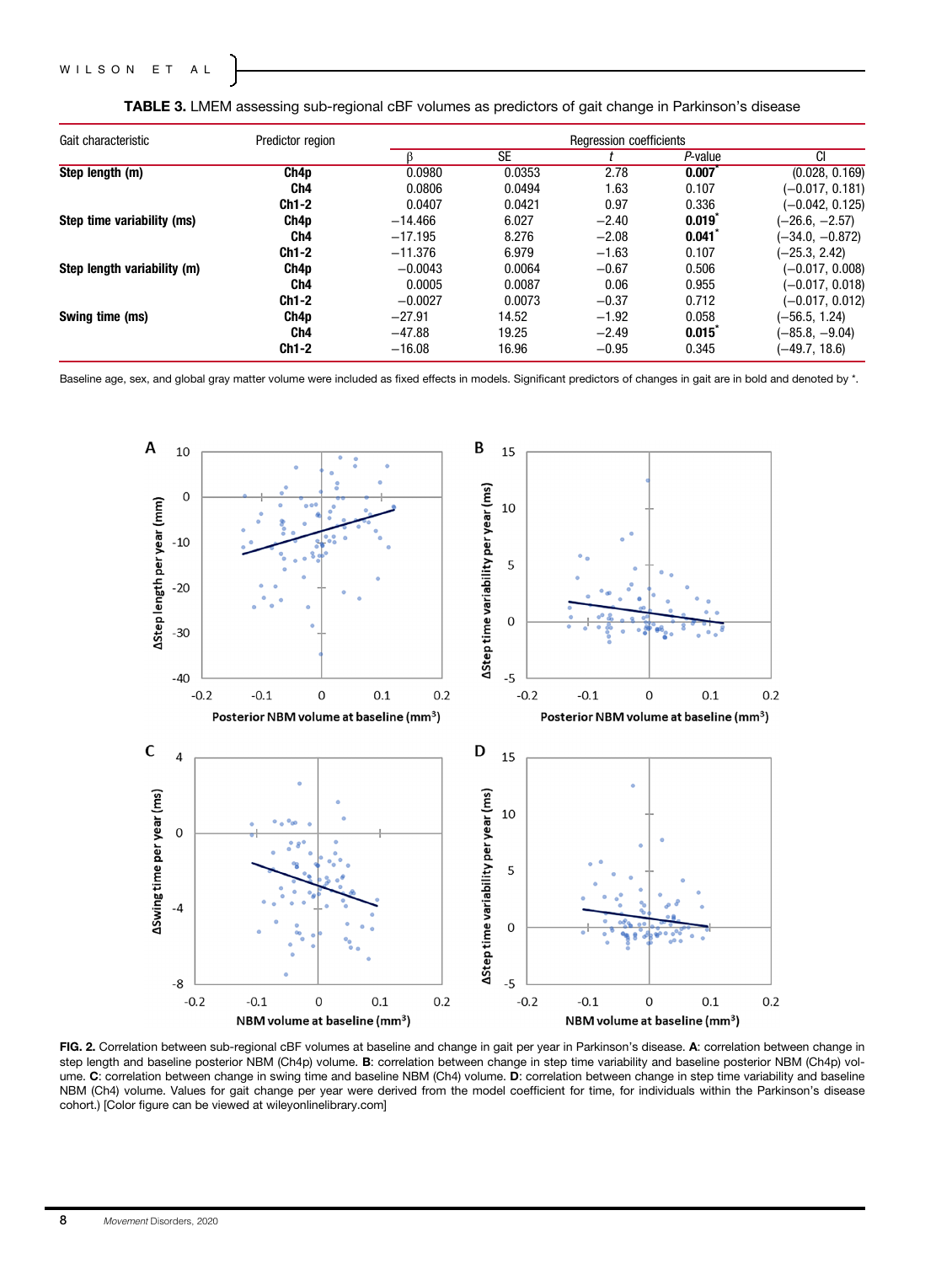| Gait characteristic         | Predictor region |           |           | Regression coefficients |         |                   |
|-----------------------------|------------------|-----------|-----------|-------------------------|---------|-------------------|
|                             |                  |           | <b>SE</b> |                         | P-value | CI                |
| Step length (m)             | Ch4p             | 0.0980    | 0.0353    | 2.78                    | 0.007   | (0.028, 0.169)    |
|                             | Ch <sub>4</sub>  | 0.0806    | 0.0494    | 1.63                    | 0.107   | $(-0.017, 0.181)$ |
|                             | Ch1-2            | 0.0407    | 0.0421    | 0.97                    | 0.336   | $(-0.042, 0.125)$ |
| Step time variability (ms)  | Ch4p             | $-14.466$ | 6.027     | $-2.40$                 | 0.019   | (-26.6, -2.57)    |
|                             | Ch4              | $-17.195$ | 8.276     | $-2.08$                 | 0.041   | $(-34.0, -0.872)$ |
|                             | $Ch1-2$          | $-11.376$ | 6.979     | $-1.63$                 | 0.107   | $(-25.3, 2.42)$   |
| Step length variability (m) | Ch4p             | $-0.0043$ | 0.0064    | $-0.67$                 | 0.506   | $(-0.017, 0.008)$ |
|                             | Ch4              | 0.0005    | 0.0087    | 0.06                    | 0.955   | $(-0.017, 0.018)$ |
|                             | Ch1-2            | $-0.0027$ | 0.0073    | $-0.37$                 | 0.712   | (-0.017, 0.012)   |
| Swing time (ms)             | Ch4p             | $-27.91$  | 14.52     | $-1.92$                 | 0.058   | $(-56.5, 1.24)$   |
|                             | Ch4              | $-47.88$  | 19.25     | $-2.49$                 | 0.015   | $(-85.8, -9.04)$  |
|                             | Ch1-2            | $-16.08$  | 16.96     | $-0.95$                 | 0.345   | $(-49.7, 18.6)$   |

TABLE 3. LMEM assessing sub-regional cBF volumes as predictors of gait change in Parkinson's disease

Baseline age, sex, and global gray matter volume were included as fixed effects in models. Significant predictors of changes in gait are in bold and denoted by \*.



FIG. 2. Correlation between sub-regional cBF volumes at baseline and change in gait per year in Parkinson's disease. A: correlation between change in step length and baseline posterior NBM (Ch4p) volume. B: correlation between change in step time variability and baseline posterior NBM (Ch4p) volume. C: correlation between change in swing time and baseline NBM (Ch4) volume. D: correlation between change in step time variability and baseline NBM (Ch4) volume. Values for gait change per year were derived from the model coefficient for time, for individuals within the Parkinson's disease cohort.) [Color figure can be viewed at [wileyonlinelibrary.com](http://wileyonlinelibrary.com)]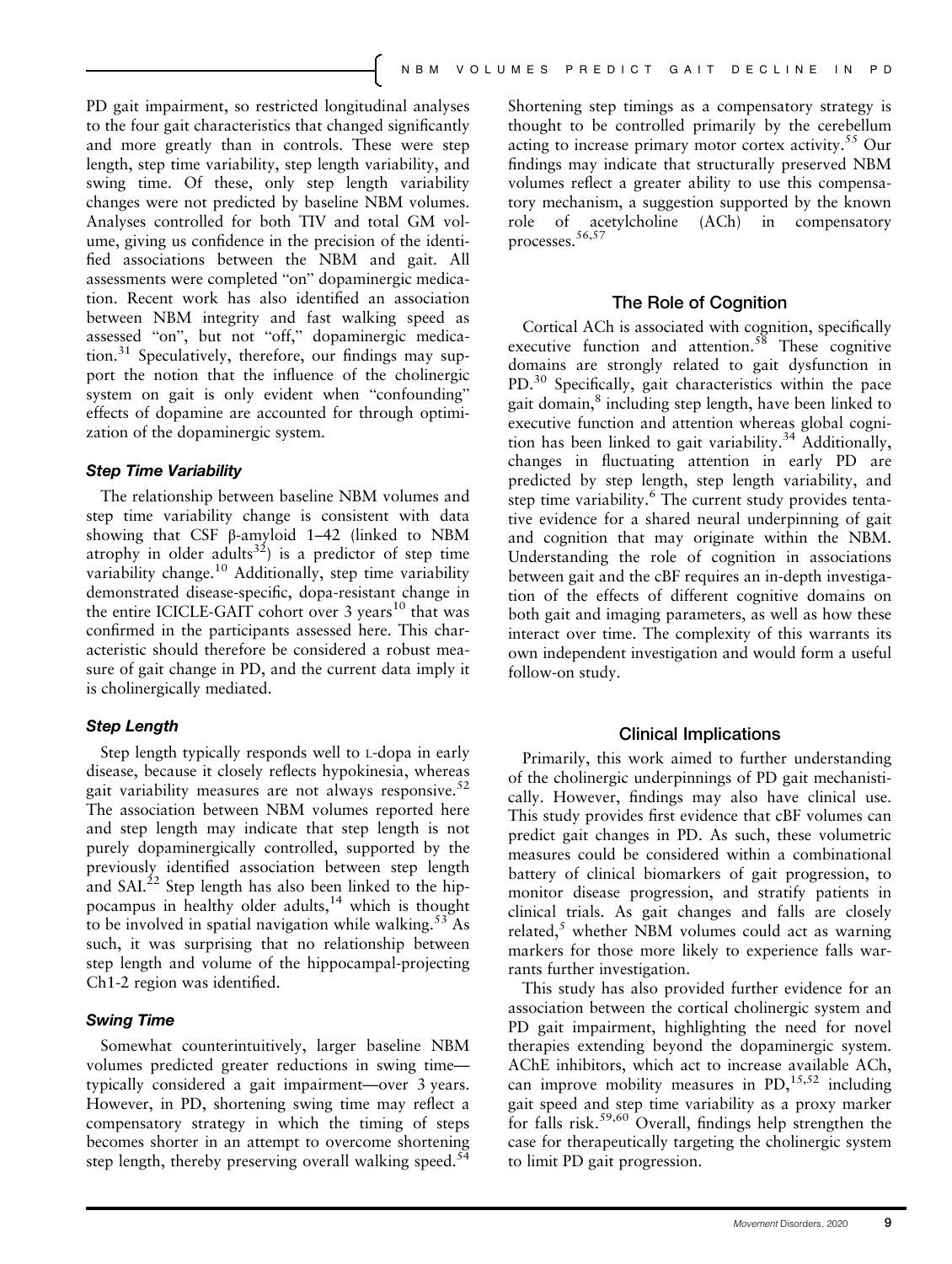PD gait impairment, so restricted longitudinal analyses to the four gait characteristics that changed significantly and more greatly than in controls. These were step length, step time variability, step length variability, and swing time. Of these, only step length variability changes were not predicted by baseline NBM volumes. Analyses controlled for both TIV and total GM volume, giving us confidence in the precision of the identified associations between the NBM and gait. All assessments were completed "on" dopaminergic medication. Recent work has also identified an association between NBM integrity and fast walking speed as assessed "on", but not "off," dopaminergic medication.<sup>31</sup> Speculatively, therefore, our findings may support the notion that the influence of the cholinergic system on gait is only evident when "confounding" effects of dopamine are accounted for through optimization of the dopaminergic system.

#### Step Time Variability

The relationship between baseline NBM volumes and step time variability change is consistent with data showing that CSF β-amyloid 1–42 (linked to NBM atrophy in older adults<sup>32</sup>) is a predictor of step time variability change.<sup>10</sup> Additionally, step time variability demonstrated disease-specific, dopa-resistant change in the entire ICICLE-GAIT cohort over  $3$  years<sup>10</sup> that was confirmed in the participants assessed here. This characteristic should therefore be considered a robust measure of gait change in PD, and the current data imply it is cholinergically mediated.

#### Step Length

Step length typically responds well to L-dopa in early disease, because it closely reflects hypokinesia, whereas gait variability measures are not always responsive. $52$ The association between NBM volumes reported here and step length may indicate that step length is not purely dopaminergically controlled, supported by the previously identified association between step length and  $\text{SAL}^{22}$  Step length has also been linked to the hippocampus in healthy older adults,<sup>14</sup> which is thought to be involved in spatial navigation while walking.<sup>53</sup> As such, it was surprising that no relationship between step length and volume of the hippocampal-projecting Ch1-2 region was identified.

#### Swing Time

Somewhat counterintuitively, larger baseline NBM volumes predicted greater reductions in swing time typically considered a gait impairment—over 3 years. However, in PD, shortening swing time may reflect a compensatory strategy in which the timing of steps becomes shorter in an attempt to overcome shortening step length, thereby preserving overall walking speed.<sup>54</sup>

Shortening step timings as a compensatory strategy is thought to be controlled primarily by the cerebellum acting to increase primary motor cortex activity.<sup>55</sup> Our findings may indicate that structurally preserved NBM volumes reflect a greater ability to use this compensatory mechanism, a suggestion supported by the known role of acetylcholine (ACh) in compensatory processes.56,57

#### The Role of Cognition

Cortical ACh is associated with cognition, specifically executive function and attention. $58$  These cognitive domains are strongly related to gait dysfunction in PD.<sup>30</sup> Specifically, gait characteristics within the pace gait domain,<sup>8</sup> including step length, have been linked to executive function and attention whereas global cognition has been linked to gait variability.<sup>34</sup> Additionally, changes in fluctuating attention in early PD are predicted by step length, step length variability, and step time variability.<sup>6</sup> The current study provides tentative evidence for a shared neural underpinning of gait and cognition that may originate within the NBM. Understanding the role of cognition in associations between gait and the cBF requires an in-depth investigation of the effects of different cognitive domains on both gait and imaging parameters, as well as how these interact over time. The complexity of this warrants its own independent investigation and would form a useful follow-on study.

#### Clinical Implications

Primarily, this work aimed to further understanding of the cholinergic underpinnings of PD gait mechanistically. However, findings may also have clinical use. This study provides first evidence that cBF volumes can predict gait changes in PD. As such, these volumetric measures could be considered within a combinational battery of clinical biomarkers of gait progression, to monitor disease progression, and stratify patients in clinical trials. As gait changes and falls are closely related, $<sup>5</sup>$  whether NBM volumes could act as warning</sup> markers for those more likely to experience falls warrants further investigation.

This study has also provided further evidence for an association between the cortical cholinergic system and PD gait impairment, highlighting the need for novel therapies extending beyond the dopaminergic system. AChE inhibitors, which act to increase available ACh, can improve mobility measures in  $PD<sub>1</sub><sup>15,52</sup>$  including gait speed and step time variability as a proxy marker for falls risk.59,60 Overall, findings help strengthen the case for therapeutically targeting the cholinergic system to limit PD gait progression.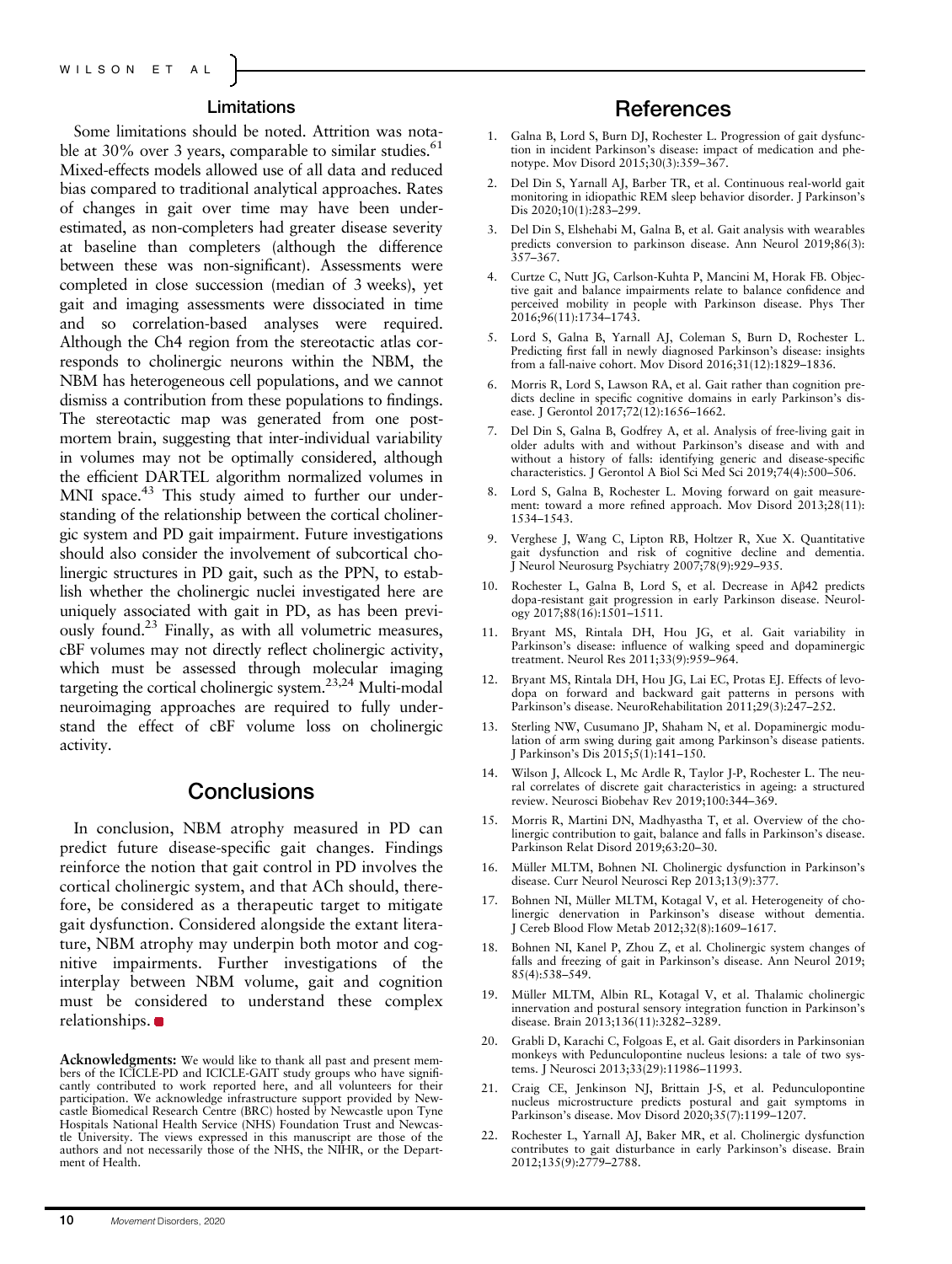### Limitations

Some limitations should be noted. Attrition was notable at 30% over 3 years, comparable to similar studies.<sup>61</sup> Mixed-effects models allowed use of all data and reduced bias compared to traditional analytical approaches. Rates of changes in gait over time may have been underestimated, as non-completers had greater disease severity at baseline than completers (although the difference between these was non-significant). Assessments were completed in close succession (median of 3 weeks), yet gait and imaging assessments were dissociated in time and so correlation-based analyses were required. Although the Ch4 region from the stereotactic atlas corresponds to cholinergic neurons within the NBM, the NBM has heterogeneous cell populations, and we cannot dismiss a contribution from these populations to findings. The stereotactic map was generated from one postmortem brain, suggesting that inter-individual variability in volumes may not be optimally considered, although the efficient DARTEL algorithm normalized volumes in MNI space.<sup>43</sup> This study aimed to further our understanding of the relationship between the cortical cholinergic system and PD gait impairment. Future investigations should also consider the involvement of subcortical cholinergic structures in PD gait, such as the PPN, to establish whether the cholinergic nuclei investigated here are uniquely associated with gait in PD, as has been previously found.23 Finally, as with all volumetric measures, cBF volumes may not directly reflect cholinergic activity, which must be assessed through molecular imaging targeting the cortical cholinergic system.23,24 Multi-modal neuroimaging approaches are required to fully understand the effect of cBF volume loss on cholinergic activity.

## **Conclusions**

In conclusion, NBM atrophy measured in PD can predict future disease-specific gait changes. Findings reinforce the notion that gait control in PD involves the cortical cholinergic system, and that ACh should, therefore, be considered as a therapeutic target to mitigate gait dysfunction. Considered alongside the extant literature, NBM atrophy may underpin both motor and cognitive impairments. Further investigations of the interplay between NBM volume, gait and cognition must be considered to understand these complex relationships.

Acknowledgments: We would like to thank all past and present members of the ICICLE-PD and ICICLE-GAIT study groups who have significantly contributed to work reported here, and all volunteers for their participation. We acknowledge infrastructure support provided by Newcastle Biomedical Research Centre (BRC) hosted by Newcastle upon Tyne Hospitals National Health Service (NHS) Foundation Trust and Newcastle University. The views expressed in this manuscript are those of the authors and not necessarily those of the NHS, the NIHR, or the Department of Health.

## **References**

- 1. Galna B, Lord S, Burn DJ, Rochester L. Progression of gait dysfunction in incident Parkinson's disease: impact of medication and phenotype. Mov Disord 2015;30(3):359–367.
- 2. Del Din S, Yarnall AJ, Barber TR, et al. Continuous real-world gait monitoring in idiopathic REM sleep behavior disorder. J Parkinson's Dis 2020;10(1):283-299.
- 3. Del Din S, Elshehabi M, Galna B, et al. Gait analysis with wearables predicts conversion to parkinson disease. Ann Neurol 2019;86(3): 357–367.
- 4. Curtze C, Nutt JG, Carlson-Kuhta P, Mancini M, Horak FB. Objective gait and balance impairments relate to balance confidence and perceived mobility in people with Parkinson disease. Phys Ther 2016;96(11):1734–1743.
- 5. Lord S, Galna B, Yarnall AJ, Coleman S, Burn D, Rochester L. Predicting first fall in newly diagnosed Parkinson's disease: insights from a fall-naive cohort. Mov Disord 2016;31(12):1829–1836.
- Morris R, Lord S, Lawson RA, et al. Gait rather than cognition predicts decline in specific cognitive domains in early Parkinson's disease. J Gerontol 2017;72(12):1656–1662.
- 7. Del Din S, Galna B, Godfrey A, et al. Analysis of free-living gait in older adults with and without Parkinson's disease and with and without a history of falls: identifying generic and disease-specific characteristics. J Gerontol A Biol Sci Med Sci 2019;74(4):500–506.
- 8. Lord S, Galna B, Rochester L. Moving forward on gait measurement: toward a more refined approach. Mov Disord 2013;28(11): 1534–1543.
- 9. Verghese J, Wang C, Lipton RB, Holtzer R, Xue X. Quantitative gait dysfunction and risk of cognitive decline and dementia. J Neurol Neurosurg Psychiatry 2007;78(9):929–935.
- 10. Rochester L, Galna B, Lord S, et al. Decrease in Aβ42 predicts dopa-resistant gait progression in early Parkinson disease. Neurology 2017;88(16):1501–1511.
- 11. Bryant MS, Rintala DH, Hou JG, et al. Gait variability in Parkinson's disease: influence of walking speed and dopaminergic treatment. Neurol Res 2011;33(9):959–964.
- 12. Bryant MS, Rintala DH, Hou JG, Lai EC, Protas EJ. Effects of levodopa on forward and backward gait patterns in persons with Parkinson's disease. NeuroRehabilitation 2011;29(3):247–252.
- 13. Sterling NW, Cusumano JP, Shaham N, et al. Dopaminergic modulation of arm swing during gait among Parkinson's disease patients. J Parkinson's Dis 2015;5(1):141–150.
- 14. Wilson J, Allcock L, Mc Ardle R, Taylor J-P, Rochester L. The neural correlates of discrete gait characteristics in ageing: a structured review. Neurosci Biobehav Rev 2019;100:344–369.
- 15. Morris R, Martini DN, Madhyastha T, et al. Overview of the cholinergic contribution to gait, balance and falls in Parkinson's disease. Parkinson Relat Disord 2019;63:20–30.
- 16. Müller MLTM, Bohnen NI. Cholinergic dysfunction in Parkinson's disease. Curr Neurol Neurosci Rep 2013;13(9):377.
- 17. Bohnen NI, Müller MLTM, Kotagal V, et al. Heterogeneity of cholinergic denervation in Parkinson's disease without dementia. J Cereb Blood Flow Metab 2012;32(8):1609–1617.
- 18. Bohnen NI, Kanel P, Zhou Z, et al. Cholinergic system changes of falls and freezing of gait in Parkinson's disease. Ann Neurol 2019; 85(4):538–549.
- 19. Müller MLTM, Albin RL, Kotagal V, et al. Thalamic cholinergic innervation and postural sensory integration function in Parkinson's disease. Brain 2013;136(11):3282–3289.
- 20. Grabli D, Karachi C, Folgoas E, et al. Gait disorders in Parkinsonian monkeys with Pedunculopontine nucleus lesions: a tale of two systems. J Neurosci 2013;33(29):11986–11993.
- 21. Craig CE, Jenkinson NJ, Brittain J-S, et al. Pedunculopontine nucleus microstructure predicts postural and gait symptoms in Parkinson's disease. Mov Disord 2020;35(7):1199–1207.
- 22. Rochester L, Yarnall AJ, Baker MR, et al. Cholinergic dysfunction contributes to gait disturbance in early Parkinson's disease. Brain 2012;135(9):2779–2788.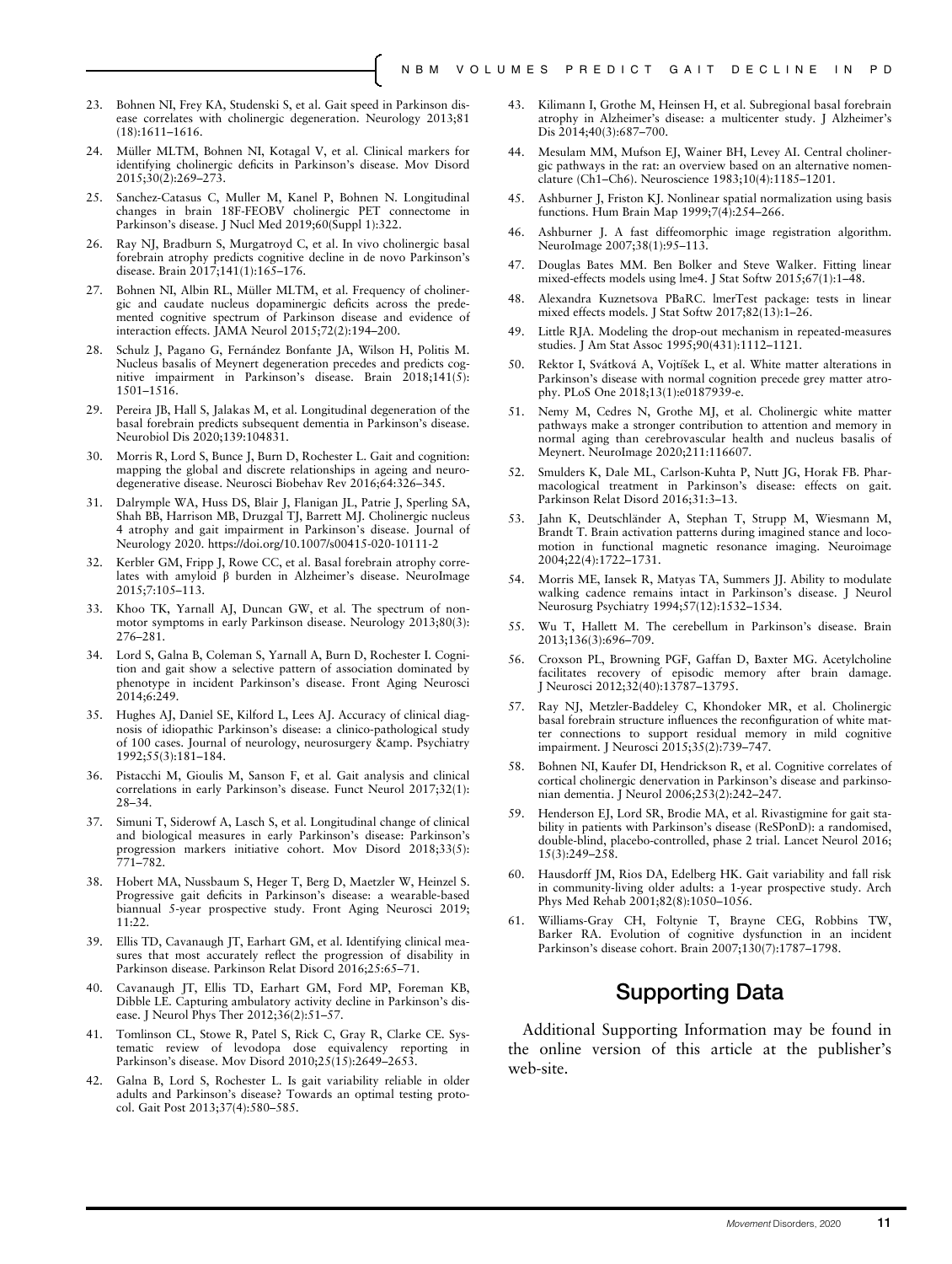- 23. Bohnen NI, Frey KA, Studenski S, et al. Gait speed in Parkinson disease correlates with cholinergic degeneration. Neurology 2013;81 (18):1611–1616.
- 24. Müller MLTM, Bohnen NI, Kotagal V, et al. Clinical markers for identifying cholinergic deficits in Parkinson's disease. Mov Disord  $2015:30(2):269-273.$
- 25. Sanchez-Catasus C, Muller M, Kanel P, Bohnen N. Longitudinal changes in brain 18F-FEOBV cholinergic PET connectome in Parkinson's disease. J Nucl Med 2019;60(Suppl 1):322.
- 26. Ray NJ, Bradburn S, Murgatroyd C, et al. In vivo cholinergic basal forebrain atrophy predicts cognitive decline in de novo Parkinson's disease. Brain 2017;141(1):165–176.
- 27. Bohnen NI, Albin RL, Müller MLTM, et al. Frequency of cholinergic and caudate nucleus dopaminergic deficits across the predemented cognitive spectrum of Parkinson disease and evidence of interaction effects. JAMA Neurol 2015;72(2):194–200.
- 28. Schulz J, Pagano G, Fernández Bonfante JA, Wilson H, Politis M. Nucleus basalis of Meynert degeneration precedes and predicts cognitive impairment in Parkinson's disease. Brain 2018;141(5): 1501–1516.
- 29. Pereira JB, Hall S, Jalakas M, et al. Longitudinal degeneration of the basal forebrain predicts subsequent dementia in Parkinson's disease. Neurobiol Dis 2020;139:104831.
- 30. Morris R, Lord S, Bunce J, Burn D, Rochester L. Gait and cognition: mapping the global and discrete relationships in ageing and neurodegenerative disease. Neurosci Biobehav Rev 2016;64:326–345.
- 31. Dalrymple WA, Huss DS, Blair J, Flanigan JL, Patrie J, Sperling SA, Shah BB, Harrison MB, Druzgal TJ, Barrett MJ. Cholinergic nucleus 4 atrophy and gait impairment in Parkinson's disease. Journal of Neurology 2020.<https://doi.org/10.1007/s00415-020-10111-2>
- 32. Kerbler GM, Fripp J, Rowe CC, et al. Basal forebrain atrophy correlates with amyloid β burden in Alzheimer's disease. NeuroImage 2015;7:105–113.
- 33. Khoo TK, Yarnall AJ, Duncan GW, et al. The spectrum of nonmotor symptoms in early Parkinson disease. Neurology 2013;80(3): 276–281.
- 34. Lord S, Galna B, Coleman S, Yarnall A, Burn D, Rochester I. Cognition and gait show a selective pattern of association dominated by phenotype in incident Parkinson's disease. Front Aging Neurosci 2014;6:249.
- 35. Hughes AJ, Daniel SE, Kilford L, Lees AJ. Accuracy of clinical diagnosis of idiopathic Parkinson's disease: a clinico-pathological study of 100 cases. Journal of neurology, neurosurgery & amp. Psychiatry 1992;55(3):181–184.
- 36. Pistacchi M, Gioulis M, Sanson F, et al. Gait analysis and clinical correlations in early Parkinson's disease. Funct Neurol 2017;32(1): 28–34.
- 37. Simuni T, Siderowf A, Lasch S, et al. Longitudinal change of clinical and biological measures in early Parkinson's disease: Parkinson's progression markers initiative cohort. Mov Disord 2018;33(5): 771–782.
- 38. Hobert MA, Nussbaum S, Heger T, Berg D, Maetzler W, Heinzel S. Progressive gait deficits in Parkinson's disease: a wearable-based biannual 5-year prospective study. Front Aging Neurosci 2019; 11:22.
- 39. Ellis TD, Cavanaugh JT, Earhart GM, et al. Identifying clinical measures that most accurately reflect the progression of disability in Parkinson disease. Parkinson Relat Disord 2016;25:65–71.
- 40. Cavanaugh JT, Ellis TD, Earhart GM, Ford MP, Foreman KB, Dibble LE. Capturing ambulatory activity decline in Parkinson's disease. J Neurol Phys Ther 2012;36(2):51–57.
- 41. Tomlinson CL, Stowe R, Patel S, Rick C, Gray R, Clarke CE. Systematic review of levodopa dose equivalency reporting in Parkinson's disease. Mov Disord 2010;25(15):2649–2653.
- 42. Galna B, Lord S, Rochester L. Is gait variability reliable in older adults and Parkinson's disease? Towards an optimal testing protocol. Gait Post 2013;37(4):580–585.
- 43. Kilimann I, Grothe M, Heinsen H, et al. Subregional basal forebrain atrophy in Alzheimer's disease: a multicenter study. J Alzheimer's Dis 2014;40(3):687–700.
- 44. Mesulam MM, Mufson EJ, Wainer BH, Levey AI. Central cholinergic pathways in the rat: an overview based on an alternative nomenclature (Ch1–Ch6). Neuroscience 1983;10(4):1185–1201.
- 45. Ashburner J, Friston KJ. Nonlinear spatial normalization using basis functions. Hum Brain Map 1999;7(4):254–266.
- 46. Ashburner J. A fast diffeomorphic image registration algorithm. NeuroImage 2007;38(1):95–113.
- 47. Douglas Bates MM. Ben Bolker and Steve Walker. Fitting linear mixed-effects models using lme4. J Stat Softw 2015;67(1):1–48.
- 48. Alexandra Kuznetsova PBaRC. lmerTest package: tests in linear mixed effects models. J Stat Softw 2017;82(13):1-26.
- 49. Little RJA. Modeling the drop-out mechanism in repeated-measures studies. J Am Stat Assoc 1995;90(431):1112–1121.
- 50. Rektor I, Svátková A, Vojtíšek L, et al. White matter alterations in Parkinson's disease with normal cognition precede grey matter atrophy. PLoS One 2018;13(1):e0187939-e.
- 51. Nemy M, Cedres N, Grothe MJ, et al. Cholinergic white matter pathways make a stronger contribution to attention and memory in normal aging than cerebrovascular health and nucleus basalis of Meynert. NeuroImage 2020;211:116607.
- 52. Smulders K, Dale ML, Carlson-Kuhta P, Nutt JG, Horak FB. Pharmacological treatment in Parkinson's disease: effects on gait. Parkinson Relat Disord 2016;31:3–13.
- 53. Jahn K, Deutschländer A, Stephan T, Strupp M, Wiesmann M, Brandt T. Brain activation patterns during imagined stance and locomotion in functional magnetic resonance imaging. Neuroimage 2004;22(4):1722–1731.
- 54. Morris ME, Iansek R, Matyas TA, Summers JJ. Ability to modulate walking cadence remains intact in Parkinson's disease. J Neurol Neurosurg Psychiatry 1994;57(12):1532–1534.
- 55. Wu T, Hallett M. The cerebellum in Parkinson's disease. Brain 2013;136(3):696–709.
- 56. Croxson PL, Browning PGF, Gaffan D, Baxter MG. Acetylcholine facilitates recovery of episodic memory after brain damage. J Neurosci 2012;32(40):13787–13795.
- 57. Ray NJ, Metzler-Baddeley C, Khondoker MR, et al. Cholinergic basal forebrain structure influences the reconfiguration of white matter connections to support residual memory in mild cognitive impairment. J Neurosci 2015;35(2):739–747.
- 58. Bohnen NI, Kaufer DI, Hendrickson R, et al. Cognitive correlates of cortical cholinergic denervation in Parkinson's disease and parkinsonian dementia. J Neurol 2006;253(2):242–247.
- 59. Henderson EJ, Lord SR, Brodie MA, et al. Rivastigmine for gait stability in patients with Parkinson's disease (ReSPonD): a randomised, double-blind, placebo-controlled, phase 2 trial. Lancet Neurol 2016; 15(3):249–258.
- 60. Hausdorff JM, Rios DA, Edelberg HK. Gait variability and fall risk in community-living older adults: a 1-year prospective study. Arch Phys Med Rehab 2001;82(8):1050–1056.
- 61. Williams-Gray CH, Foltynie T, Brayne CEG, Robbins TW, Barker RA. Evolution of cognitive dysfunction in an incident Parkinson's disease cohort. Brain 2007;130(7):1787–1798.

# Supporting Data

Additional Supporting Information may be found in the online version of this article at the publisher's web-site.